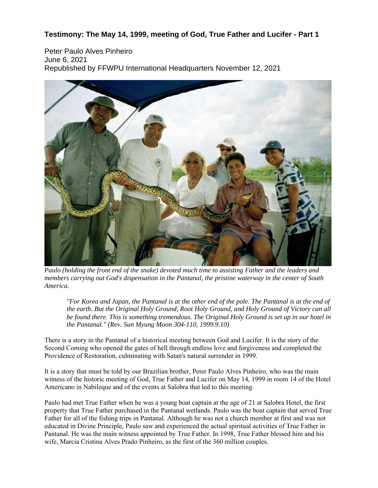## **Testimony: The May 14, 1999, meeting of God, True Father and Lucifer - Part 1**

Peter Paulo Alves Pinheiro June 6, 2021 Republished by FFWPU International Headquarters November 12, 2021



Paulo (holding the front end of the snake) devoted much time to assisting Father and the leaders and *members carrying out God's dispensation in the Pantanal, the pristine waterway in the center of South America.*

"For Korea and Japan, the Pantanal is at the other end of the pole. The Pantanal is at the end of *the earth. But the Original Holy Ground, Root Holy Ground, and Holy Ground of Victory can all be found there. This is something tremendous. The Original Holy Ground is set up in our hotel in the Pantanal." (Rev. Sun Myung Moon 304-110, 1999.9.10)*

There is a story in the Pantanal of a historical meeting between God and Lucifer. It is the story of the Second Coming who opened the gates of hell through endless love and forgiveness and completed the Providence of Restoration, culminating with Satan's natural surrender in 1999.

It is a story that must be told by our Brazilian brother, Peter Paulo Alves Pinheiro, who was the main witness of the historic meeting of God, True Father and Lucifer on May 14, 1999 in room 14 of the Hotel Americano in Nabileque and of the events at Salobra that led to this meeting.

Paulo had met True Father when he was a young boat captain at the age of 21 at Salobra Hotel, the first property that True Father purchased in the Pantanal wetlands. Paulo was the boat captain that served True Father for all of the fishing trips in Pantanal. Although he was not a church member at first and was not educated in Divine Principle, Paulo saw and experienced the actual spiritual activities of True Father in Pantanal. He was the main witness appointed by True Father. In 1998, True Father blessed him and his wife, Marcia Cristina Alves Prado Pinheiro, as the first of the 360 million couples.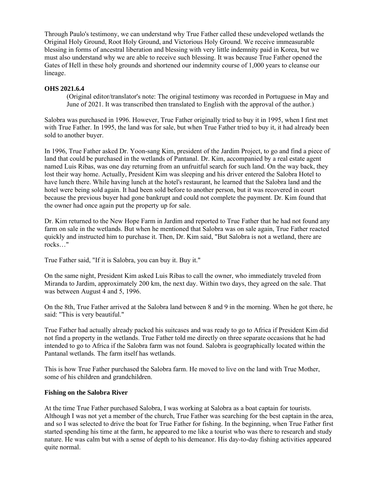Through Paulo's testimony, we can understand why True Father called these undeveloped wetlands the Original Holy Ground, Root Holy Ground, and Victorious Holy Ground. We receive immeasurable blessing in forms of ancestral liberation and blessing with very little indemnity paid in Korea, but we must also understand why we are able to receive such blessing. It was because True Father opened the Gates of Hell in these holy grounds and shortened our indemnity course of 1,000 years to cleanse our lineage.

## **OHS 2021.6.4**

(Original editor/translator's note: The original testimony was recorded in Portuguese in May and June of 2021. It was transcribed then translated to English with the approval of the author.)

Salobra was purchased in 1996. However, True Father originally tried to buy it in 1995, when I first met with True Father. In 1995, the land was for sale, but when True Father tried to buy it, it had already been sold to another buyer.

In 1996, True Father asked Dr. Yoon-sang Kim, president of the Jardim Project, to go and find a piece of land that could be purchased in the wetlands of Pantanal. Dr. Kim, accompanied by a real estate agent named Luis Ribas, was one day returning from an unfruitful search for such land. On the way back, they lost their way home. Actually, President Kim was sleeping and his driver entered the Salobra Hotel to have lunch there. While having lunch at the hotel's restaurant, he learned that the Salobra land and the hotel were being sold again. It had been sold before to another person, but it was recovered in court because the previous buyer had gone bankrupt and could not complete the payment. Dr. Kim found that the owner had once again put the property up for sale.

Dr. Kim returned to the New Hope Farm in Jardim and reported to True Father that he had not found any farm on sale in the wetlands. But when he mentioned that Salobra was on sale again, True Father reacted quickly and instructed him to purchase it. Then, Dr. Kim said, "But Salobra is not a wetland, there are rocks…"

True Father said, "If it is Salobra, you can buy it. Buy it."

On the same night, President Kim asked Luis Ribas to call the owner, who immediately traveled from Miranda to Jardim, approximately 200 km, the next day. Within two days, they agreed on the sale. That was between August 4 and 5, 1996.

On the 8th, True Father arrived at the Salobra land between 8 and 9 in the morning. When he got there, he said: "This is very beautiful."

True Father had actually already packed his suitcases and was ready to go to Africa if President Kim did not find a property in the wetlands. True Father told me directly on three separate occasions that he had intended to go to Africa if the Salobra farm was not found. Salobra is geographically located within the Pantanal wetlands. The farm itself has wetlands.

This is how True Father purchased the Salobra farm. He moved to live on the land with True Mother, some of his children and grandchildren.

## **Fishing on the Salobra River**

At the time True Father purchased Salobra, I was working at Salobra as a boat captain for tourists. Although I was not yet a member of the church, True Father was searching for the best captain in the area, and so I was selected to drive the boat for True Father for fishing. In the beginning, when True Father first started spending his time at the farm, he appeared to me like a tourist who was there to research and study nature. He was calm but with a sense of depth to his demeanor. His day-to-day fishing activities appeared quite normal.